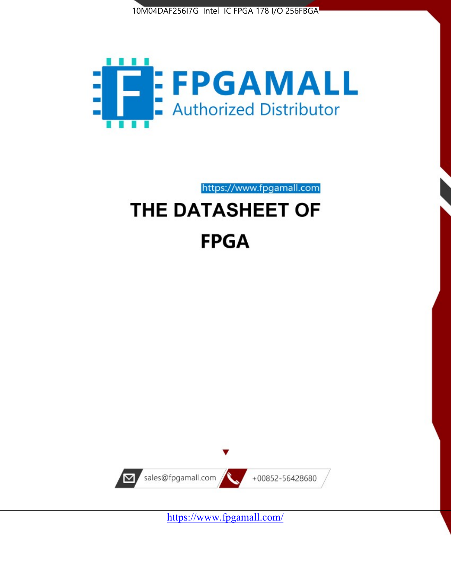



https://www.fpgamall.com THE DATASHEET OF

# **FPGA**



<https://www.fpgamall.com/>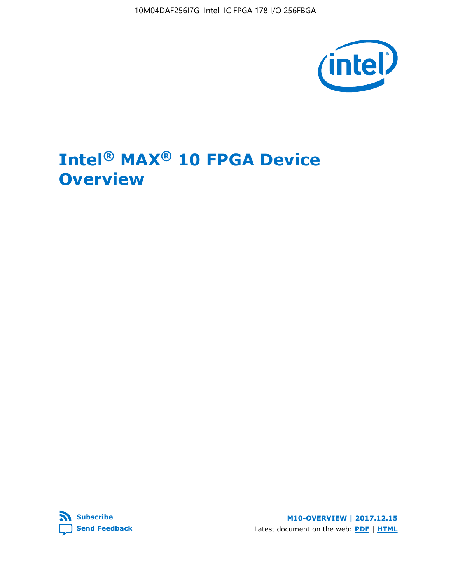10M04DAF256I7G Intel IC FPGA 178 I/O 256FBGA



## **Intel® MAX® 10 FPGA Device Overview**



**M10-OVERVIEW | 2017.12.15** Latest document on the web: **[PDF](https://www.altera.com/en_US/pdfs/literature/hb/max-10/m10_overview.pdf)** | **[HTML](https://www.altera.com/documentation/myt1396938463674.html)**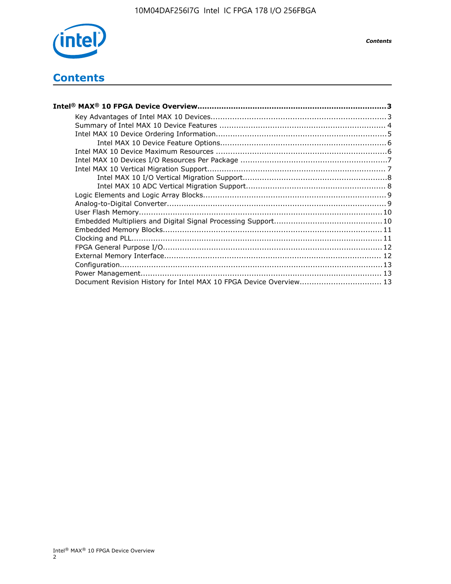

## **Contents**

| Intel® MAX® 10 FPGA Device Overview……………………………………………………………………………3  |  |
|--------------------------------------------------------------------|--|
|                                                                    |  |
|                                                                    |  |
|                                                                    |  |
|                                                                    |  |
|                                                                    |  |
|                                                                    |  |
|                                                                    |  |
|                                                                    |  |
|                                                                    |  |
|                                                                    |  |
|                                                                    |  |
|                                                                    |  |
|                                                                    |  |
|                                                                    |  |
|                                                                    |  |
|                                                                    |  |
|                                                                    |  |
|                                                                    |  |
|                                                                    |  |
| Document Revision History for Intel MAX 10 FPGA Device Overview 13 |  |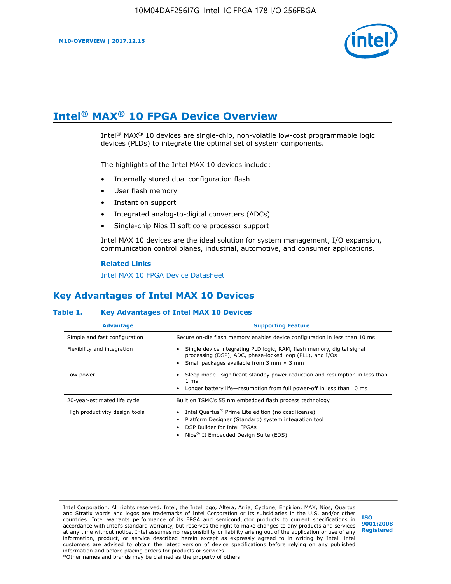

## **Intel® MAX® 10 FPGA Device Overview**

Intel® MAX® 10 devices are single-chip, non-volatile low-cost programmable logic devices (PLDs) to integrate the optimal set of system components.

The highlights of the Intel MAX 10 devices include:

- Internally stored dual configuration flash
- User flash memory
- Instant on support
- Integrated analog-to-digital converters (ADCs)
- Single-chip Nios II soft core processor support

Intel MAX 10 devices are the ideal solution for system management, I/O expansion, communication control planes, industrial, automotive, and consumer applications.

#### **Related Links**

[Intel MAX 10 FPGA Device Datasheet](https://www.altera.com/documentation/mcn1397700832153.html#mcn1397643748870)

## **Key Advantages of Intel MAX 10 Devices**

#### **Table 1. Key Advantages of Intel MAX 10 Devices**

| <b>Advantage</b>               | <b>Supporting Feature</b>                                                                                                                                                                                  |  |  |  |
|--------------------------------|------------------------------------------------------------------------------------------------------------------------------------------------------------------------------------------------------------|--|--|--|
| Simple and fast configuration  | Secure on-die flash memory enables device configuration in less than 10 ms                                                                                                                                 |  |  |  |
| Flexibility and integration    | Single device integrating PLD logic, RAM, flash memory, digital signal<br>processing (DSP), ADC, phase-locked loop (PLL), and I/Os<br>Small packages available from 3 mm $\times$ 3 mm                     |  |  |  |
| Low power                      | Sleep mode—significant standby power reduction and resumption in less than<br>$1 \text{ ms}$<br>Longer battery life-resumption from full power-off in less than 10 ms                                      |  |  |  |
| 20-year-estimated life cycle   | Built on TSMC's 55 nm embedded flash process technology                                                                                                                                                    |  |  |  |
| High productivity design tools | Intel Quartus <sup>®</sup> Prime Lite edition (no cost license)<br>Platform Designer (Standard) system integration tool<br>DSP Builder for Intel FPGAs<br>Nios <sup>®</sup> II Embedded Design Suite (EDS) |  |  |  |

Intel Corporation. All rights reserved. Intel, the Intel logo, Altera, Arria, Cyclone, Enpirion, MAX, Nios, Quartus and Stratix words and logos are trademarks of Intel Corporation or its subsidiaries in the U.S. and/or other countries. Intel warrants performance of its FPGA and semiconductor products to current specifications in accordance with Intel's standard warranty, but reserves the right to make changes to any products and services at any time without notice. Intel assumes no responsibility or liability arising out of the application or use of any information, product, or service described herein except as expressly agreed to in writing by Intel. Intel customers are advised to obtain the latest version of device specifications before relying on any published information and before placing orders for products or services. \*Other names and brands may be claimed as the property of others.

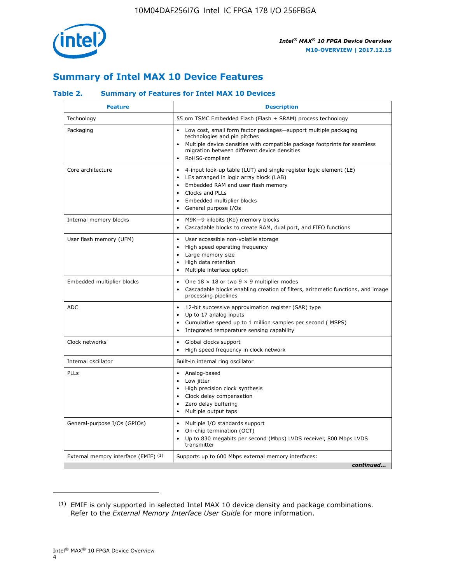

## **Summary of Intel MAX 10 Device Features**

## **Table 2. Summary of Features for Intel MAX 10 Devices**

| <b>Feature</b>                       | <b>Description</b>                                                                                                                                                                                                                                                               |
|--------------------------------------|----------------------------------------------------------------------------------------------------------------------------------------------------------------------------------------------------------------------------------------------------------------------------------|
| Technology                           | 55 nm TSMC Embedded Flash (Flash + SRAM) process technology                                                                                                                                                                                                                      |
| Packaging                            | Low cost, small form factor packages-support multiple packaging<br>technologies and pin pitches<br>Multiple device densities with compatible package footprints for seamless<br>migration between different device densities<br>RoHS6-compliant                                  |
| Core architecture                    | 4-input look-up table (LUT) and single register logic element (LE)<br>$\bullet$<br>LEs arranged in logic array block (LAB)<br>$\bullet$<br>Embedded RAM and user flash memory<br>Clocks and PLLs<br>$\bullet$<br>Embedded multiplier blocks<br>$\bullet$<br>General purpose I/Os |
| Internal memory blocks               | M9K-9 kilobits (Kb) memory blocks<br>$\bullet$<br>Cascadable blocks to create RAM, dual port, and FIFO functions<br>$\bullet$                                                                                                                                                    |
| User flash memory (UFM)              | User accessible non-volatile storage<br>$\bullet$<br>High speed operating frequency<br>$\bullet$<br>Large memory size<br>$\bullet$<br>High data retention<br>$\bullet$<br>Multiple interface option                                                                              |
| Embedded multiplier blocks           | One $18 \times 18$ or two 9 $\times$ 9 multiplier modes<br>$\bullet$<br>Cascadable blocks enabling creation of filters, arithmetic functions, and image<br>processing pipelines                                                                                                  |
| <b>ADC</b>                           | 12-bit successive approximation register (SAR) type<br>$\bullet$<br>Up to 17 analog inputs<br>$\bullet$<br>Cumulative speed up to 1 million samples per second (MSPS)<br>Integrated temperature sensing capability                                                               |
| Clock networks                       | Global clocks support<br>$\bullet$<br>High speed frequency in clock network                                                                                                                                                                                                      |
| Internal oscillator                  | Built-in internal ring oscillator                                                                                                                                                                                                                                                |
| PLLs                                 | • Analog-based<br>Low jitter<br>$\bullet$<br>High precision clock synthesis<br>$\bullet$<br>Clock delay compensation<br>$\bullet$<br>Zero delay buffering<br>$\bullet$<br>Multiple output taps<br>$\bullet$                                                                      |
| General-purpose I/Os (GPIOs)         | Multiple I/O standards support<br>$\bullet$<br>On-chip termination (OCT)<br>$\bullet$<br>Up to 830 megabits per second (Mbps) LVDS receiver, 800 Mbps LVDS<br>$\bullet$<br>transmitter                                                                                           |
| External memory interface (EMIF) (1) | Supports up to 600 Mbps external memory interfaces:<br>continued                                                                                                                                                                                                                 |
|                                      |                                                                                                                                                                                                                                                                                  |

<sup>(1)</sup> EMIF is only supported in selected Intel MAX 10 device density and package combinations. Refer to the *External Memory Interface User Guide* for more information.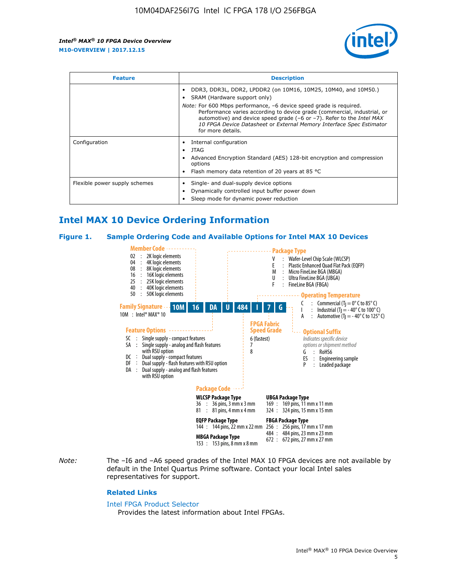

| <b>Feature</b>                | <b>Description</b>                                                                                                                                                                                                                                                                                                                                                                                                                               |  |  |  |
|-------------------------------|--------------------------------------------------------------------------------------------------------------------------------------------------------------------------------------------------------------------------------------------------------------------------------------------------------------------------------------------------------------------------------------------------------------------------------------------------|--|--|--|
|                               | DDR3, DDR3L, DDR2, LPDDR2 (on 10M16, 10M25, 10M40, and 10M50.)<br>SRAM (Hardware support only)<br><i>Note:</i> For 600 Mbps performance, -6 device speed grade is required.<br>Performance varies according to device grade (commercial, industrial, or<br>automotive) and device speed grade $(-6 \text{ or } -7)$ . Refer to the <i>Intel MAX</i><br>10 FPGA Device Datasheet or External Memory Interface Spec Estimator<br>for more details. |  |  |  |
| Configuration                 | Internal configuration<br>JTAG<br>٠<br>Advanced Encryption Standard (AES) 128-bit encryption and compression<br>options<br>Flash memory data retention of 20 years at 85 $^{\circ}$ C                                                                                                                                                                                                                                                            |  |  |  |
| Flexible power supply schemes | Single- and dual-supply device options<br>Dynamically controlled input buffer power down<br>Sleep mode for dynamic power reduction                                                                                                                                                                                                                                                                                                               |  |  |  |

## **Intel MAX 10 Device Ordering Information**

#### **Figure 1. Sample Ordering Code and Available Options for Intel MAX 10 Devices**



*Note:* The –I6 and –A6 speed grades of the Intel MAX 10 FPGA devices are not available by default in the Intel Quartus Prime software. Contact your local Intel sales representatives for support.

#### **Related Links**

#### [Intel FPGA Product Selector](http://www.altera.com/products/selector/psg-selector.html)

Provides the latest information about Intel FPGAs.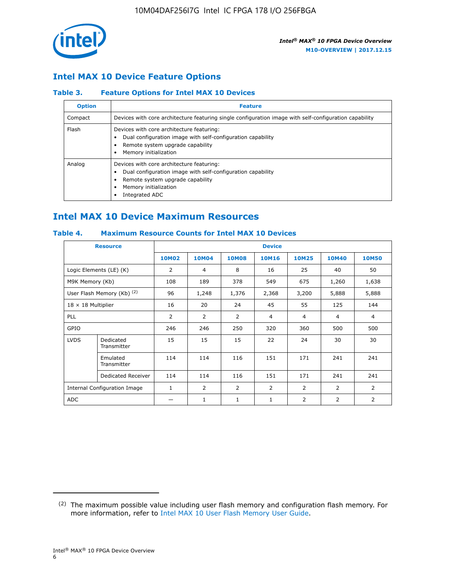

## **Intel MAX 10 Device Feature Options**

## **Table 3. Feature Options for Intel MAX 10 Devices**

| <b>Option</b> | <b>Feature</b>                                                                                                                                                                          |
|---------------|-----------------------------------------------------------------------------------------------------------------------------------------------------------------------------------------|
| Compact       | Devices with core architecture featuring single configuration image with self-configuration capability                                                                                  |
| Flash         | Devices with core architecture featuring:<br>Dual configuration image with self-configuration capability<br>Remote system upgrade capability<br>Memory initialization                   |
| Analog        | Devices with core architecture featuring:<br>Dual configuration image with self-configuration capability<br>Remote system upgrade capability<br>Memory initialization<br>Integrated ADC |

## **Intel MAX 10 Device Maximum Resources**

## **Table 4. Maximum Resource Counts for Intel MAX 10 Devices**

| <b>Resource</b>                     |                            | <b>Device</b>  |              |              |                |                |              |                |
|-------------------------------------|----------------------------|----------------|--------------|--------------|----------------|----------------|--------------|----------------|
|                                     |                            | <b>10M02</b>   | <b>10M04</b> | <b>10M08</b> | <b>10M16</b>   | <b>10M25</b>   | <b>10M40</b> | <b>10M50</b>   |
|                                     | Logic Elements (LE) (K)    | $\overline{2}$ | 4            | 8            | 16             | 25             | 40           | 50             |
| M9K Memory (Kb)                     |                            | 108            | 189          | 378          | 549            | 675            | 1,260        | 1,638          |
|                                     | User Flash Memory (Kb) (2) | 96             | 1,248        | 1,376        | 2,368          | 3,200          | 5,888        | 5,888          |
| $18 \times 18$ Multiplier           |                            | 16             | 20           | 24           | 45             | 55             | 125          | 144            |
| <b>PLL</b>                          |                            | 2              | 2            | 2            | $\overline{4}$ | $\overline{4}$ | 4            | $\overline{4}$ |
| GPIO                                |                            | 246            | 246          | 250          | 320            | 360            | 500          | 500            |
| <b>LVDS</b>                         | Dedicated<br>Transmitter   | 15             | 15           | 15           | 22             | 24             | 30           | 30             |
|                                     | Emulated<br>Transmitter    | 114            | 114          | 116          | 151            | 171            | 241          | 241            |
|                                     | Dedicated Receiver         | 114            | 114          | 116          | 151            | 171            | 241          | 241            |
| <b>Internal Configuration Image</b> |                            | $\mathbf{1}$   | 2            | 2            | $\overline{2}$ | 2              | 2            | $\overline{2}$ |
| <b>ADC</b>                          |                            |                | 1            | 1            | $\mathbf{1}$   | 2              | 2            | 2              |

<sup>(2)</sup> The maximum possible value including user flash memory and configuration flash memory. For more information, refer to [Intel MAX 10 User Flash Memory User Guide](https://www.altera.com/documentation/vgo1395753117436.html#vgo1395811844282).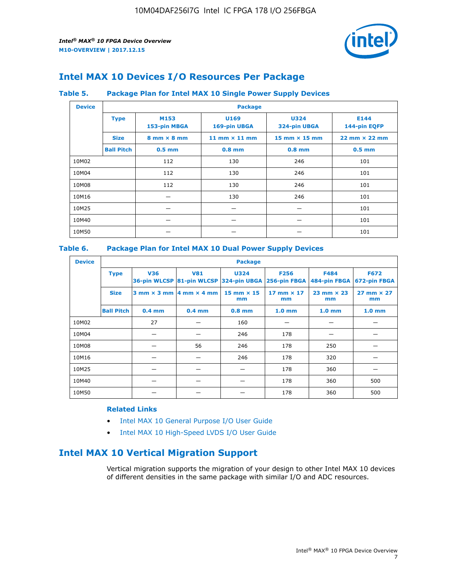

## **Intel MAX 10 Devices I/O Resources Per Package**

#### **Table 5. Package Plan for Intel MAX 10 Single Power Supply Devices**

| <b>Device</b> |                   | <b>Package</b>                     |                      |                             |                                      |  |  |  |  |
|---------------|-------------------|------------------------------------|----------------------|-----------------------------|--------------------------------------|--|--|--|--|
|               | <b>Type</b>       | M153<br>153-pin MBGA               | U169<br>169-pin UBGA | <b>U324</b><br>324-pin UBGA | E144<br>144-pin EQFP                 |  |  |  |  |
|               | <b>Size</b>       | $8 \text{ mm} \times 8 \text{ mm}$ | 11 mm $\times$ 11 mm | $15$ mm $\times$ 15 mm      | $22 \text{ mm} \times 22 \text{ mm}$ |  |  |  |  |
|               | <b>Ball Pitch</b> | $0.5$ mm                           | $0.8$ mm             | $0.8$ mm                    | $0.5$ mm                             |  |  |  |  |
| 10M02         |                   | 112                                | 130                  | 246                         | 101                                  |  |  |  |  |
| 10M04         |                   | 112                                | 130                  | 246                         | 101                                  |  |  |  |  |
| 10M08         |                   | 112                                | 130                  | 246                         | 101                                  |  |  |  |  |
| 10M16         |                   |                                    | 130                  | 246                         | 101                                  |  |  |  |  |
| 10M25         |                   |                                    |                      |                             | 101                                  |  |  |  |  |
| 10M40         |                   |                                    |                      |                             | 101                                  |  |  |  |  |
| 10M50         |                   |                                    |                      |                             | 101                                  |  |  |  |  |

## **Table 6. Package Plan for Intel MAX 10 Dual Power Supply Devices**

| <b>Device</b> |                   | <b>Package</b> |                                                 |                                                                    |                         |                           |                             |  |  |
|---------------|-------------------|----------------|-------------------------------------------------|--------------------------------------------------------------------|-------------------------|---------------------------|-----------------------------|--|--|
|               | <b>Type</b>       | <b>V36</b>     | <b>V81</b>                                      | <b>U324</b><br>36-pin WLCSP 81-pin WLCSP 324-pin UBGA 256-pin FBGA | <b>F256</b>             | F484<br>484-pin FBGA      | <b>F672</b><br>672-pin FBGA |  |  |
|               | <b>Size</b>       |                | $3$ mm $\times$ 3 mm $\vert$ 4 mm $\times$ 4 mm | $15$ mm $\times$ 15<br>mm                                          | 17 mm $\times$ 17<br>mm | $23$ mm $\times$ 23<br>mm | $27$ mm $\times$ 27<br>mm   |  |  |
|               | <b>Ball Pitch</b> | $0.4$ mm       | $0.4$ mm                                        | $0.8$ mm                                                           | 1.0 <sub>mm</sub>       | 1.0 <sub>mm</sub>         | 1.0 <sub>mm</sub>           |  |  |
| 10M02         |                   | 27             |                                                 | 160                                                                |                         |                           |                             |  |  |
| 10M04         |                   |                |                                                 | 246                                                                | 178                     |                           |                             |  |  |
| 10M08         |                   |                | 56                                              | 246                                                                | 178                     | 250                       |                             |  |  |
| 10M16         |                   |                |                                                 | 246                                                                | 178                     | 320                       |                             |  |  |
| 10M25         |                   |                |                                                 |                                                                    | 178                     | 360                       |                             |  |  |
| 10M40         |                   |                |                                                 |                                                                    | 178                     | 360                       | 500                         |  |  |
| 10M50         |                   |                |                                                 |                                                                    | 178                     | 360                       | 500                         |  |  |

## **Related Links**

- [Intel MAX 10 General Purpose I/O User Guide](https://www.altera.com/documentation/sam1393999966669.html#sam1394000084476)
- [Intel MAX 10 High-Speed LVDS I/O User Guide](https://www.altera.com/documentation/sam1394433606063.html#sam1394433911642)

## **Intel MAX 10 Vertical Migration Support**

Vertical migration supports the migration of your design to other Intel MAX 10 devices of different densities in the same package with similar I/O and ADC resources.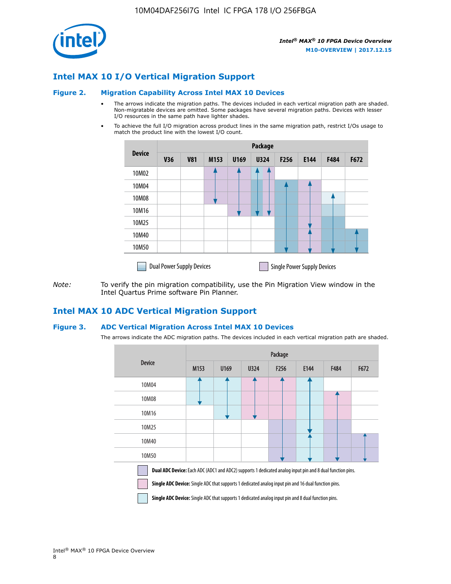

## **Intel MAX 10 I/O Vertical Migration Support**

#### **Figure 2. Migration Capability Across Intel MAX 10 Devices**

- The arrows indicate the migration paths. The devices included in each vertical migration path are shaded. Non-migratable devices are omitted. Some packages have several migration paths. Devices with lesser I/O resources in the same path have lighter shades.
- To achieve the full I/O migration across product lines in the same migration path, restrict I/Os usage to match the product line with the lowest I/O count.

|               | Package                          |            |      |      |             |                  |                                    |      |      |  |
|---------------|----------------------------------|------------|------|------|-------------|------------------|------------------------------------|------|------|--|
| <b>Device</b> | <b>V36</b>                       | <b>V81</b> | M153 | U169 | <b>U324</b> | F <sub>256</sub> | E144                               | F484 | F672 |  |
| 10M02         |                                  |            |      |      | 7           |                  |                                    |      |      |  |
| 10M04         |                                  |            |      |      |             |                  |                                    |      |      |  |
| 10M08         |                                  |            |      |      |             |                  |                                    |      |      |  |
| 10M16         |                                  |            |      |      |             |                  |                                    |      |      |  |
| 10M25         |                                  |            |      |      |             |                  |                                    |      |      |  |
| 10M40         |                                  |            |      |      |             |                  |                                    |      |      |  |
| 10M50         |                                  |            |      |      |             |                  |                                    |      |      |  |
|               | <b>Dual Power Supply Devices</b> |            |      |      |             |                  | <b>Single Power Supply Devices</b> |      |      |  |

*Note:* To verify the pin migration compatibility, use the Pin Migration View window in the Intel Quartus Prime software Pin Planner.

## **Intel MAX 10 ADC Vertical Migration Support**

#### **Figure 3. ADC Vertical Migration Across Intel MAX 10 Devices**

The arrows indicate the ADC migration paths. The devices included in each vertical migration path are shaded.

|                                                                                                                                                                                                                  | Package          |      |      |                  |      |      |      |  |  |
|------------------------------------------------------------------------------------------------------------------------------------------------------------------------------------------------------------------|------------------|------|------|------------------|------|------|------|--|--|
| <b>Device</b>                                                                                                                                                                                                    | M <sub>153</sub> | U169 | U324 | F <sub>256</sub> | E144 | F484 | F672 |  |  |
| 10M04                                                                                                                                                                                                            |                  |      |      |                  |      |      |      |  |  |
| 10M08                                                                                                                                                                                                            |                  |      |      |                  |      |      |      |  |  |
| 10M16                                                                                                                                                                                                            |                  |      |      |                  |      |      |      |  |  |
| 10M25                                                                                                                                                                                                            |                  |      |      |                  |      |      |      |  |  |
| 10M40                                                                                                                                                                                                            |                  |      |      |                  |      |      |      |  |  |
| 10M50                                                                                                                                                                                                            |                  |      |      |                  |      |      |      |  |  |
| Dual ADC Device: Each ADC (ADC1 and ADC2) supports 1 dedicated analog input pin and 8 dual function pins.<br>Single ADC Device: Single ADC that supports 1 dedicated analog input pin and 16 dual function pins. |                  |      |      |                  |      |      |      |  |  |

**Single ADC Device:** Single ADC that supports 1 dedicated analog input pin and 8 dual function pins.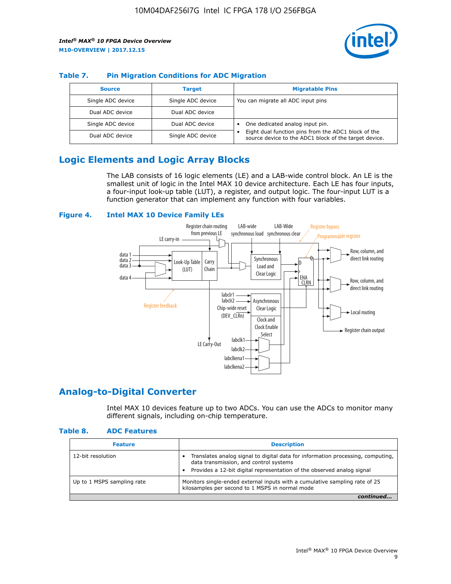

### **Table 7. Pin Migration Conditions for ADC Migration**

| <b>Source</b>     | <b>Target</b>     | <b>Migratable Pins</b>                                                                                            |
|-------------------|-------------------|-------------------------------------------------------------------------------------------------------------------|
| Single ADC device | Single ADC device | You can migrate all ADC input pins                                                                                |
| Dual ADC device   | Dual ADC device   |                                                                                                                   |
| Single ADC device | Dual ADC device   | One dedicated analog input pin.                                                                                   |
| Dual ADC device   | Single ADC device | Eight dual function pins from the ADC1 block of the<br>٠<br>source device to the ADC1 block of the target device. |

## **Logic Elements and Logic Array Blocks**

The LAB consists of 16 logic elements (LE) and a LAB-wide control block. An LE is the smallest unit of logic in the Intel MAX 10 device architecture. Each LE has four inputs, a four-input look-up table (LUT), a register, and output logic. The four-input LUT is a function generator that can implement any function with four variables.

#### **Figure 4. Intel MAX 10 Device Family LEs**



## **Analog-to-Digital Converter**

Intel MAX 10 devices feature up to two ADCs. You can use the ADCs to monitor many different signals, including on-chip temperature.

#### **Table 8. ADC Features**

| <b>Feature</b>             | <b>Description</b>                                                                                                                                                                                  |
|----------------------------|-----------------------------------------------------------------------------------------------------------------------------------------------------------------------------------------------------|
| 12-bit resolution          | Translates analog signal to digital data for information processing, computing,<br>data transmission, and control systems<br>Provides a 12-bit digital representation of the observed analog signal |
| Up to 1 MSPS sampling rate | Monitors single-ended external inputs with a cumulative sampling rate of 25<br>kilosamples per second to 1 MSPS in normal mode                                                                      |
|                            |                                                                                                                                                                                                     |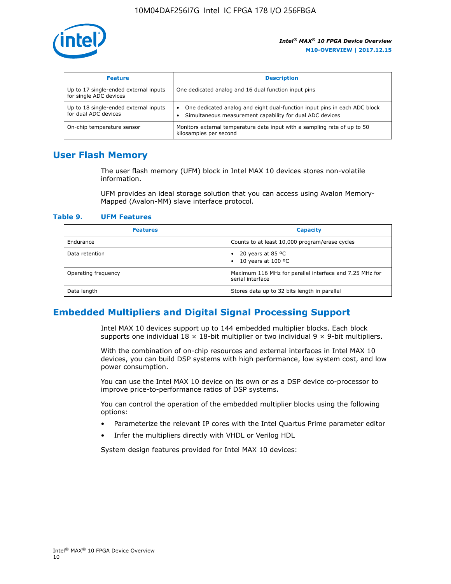

| <b>Feature</b>                                                  | <b>Description</b>                                                                                                                                 |
|-----------------------------------------------------------------|----------------------------------------------------------------------------------------------------------------------------------------------------|
| Up to 17 single-ended external inputs<br>for single ADC devices | One dedicated analog and 16 dual function input pins                                                                                               |
| Up to 18 single-ended external inputs<br>for dual ADC devices   | One dedicated analog and eight dual-function input pins in each ADC block<br>$\bullet$<br>Simultaneous measurement capability for dual ADC devices |
| On-chip temperature sensor                                      | Monitors external temperature data input with a sampling rate of up to 50<br>kilosamples per second                                                |

## **User Flash Memory**

The user flash memory (UFM) block in Intel MAX 10 devices stores non-volatile information.

UFM provides an ideal storage solution that you can access using Avalon Memory-Mapped (Avalon-MM) slave interface protocol.

#### **Table 9. UFM Features**

| <b>Features</b>     | <b>Capacity</b>                                                             |
|---------------------|-----------------------------------------------------------------------------|
| Endurance           | Counts to at least 10,000 program/erase cycles                              |
| Data retention      | 20 years at 85 $^{\circ}$ C<br>٠<br>10 years at 100 °C<br>$\bullet$         |
| Operating frequency | Maximum 116 MHz for parallel interface and 7.25 MHz for<br>serial interface |
| Data length         | Stores data up to 32 bits length in parallel                                |

## **Embedded Multipliers and Digital Signal Processing Support**

Intel MAX 10 devices support up to 144 embedded multiplier blocks. Each block supports one individual  $18 \times 18$ -bit multiplier or two individual  $9 \times 9$ -bit multipliers.

With the combination of on-chip resources and external interfaces in Intel MAX 10 devices, you can build DSP systems with high performance, low system cost, and low power consumption.

You can use the Intel MAX 10 device on its own or as a DSP device co-processor to improve price-to-performance ratios of DSP systems.

You can control the operation of the embedded multiplier blocks using the following options:

- Parameterize the relevant IP cores with the Intel Quartus Prime parameter editor
- Infer the multipliers directly with VHDL or Verilog HDL

System design features provided for Intel MAX 10 devices: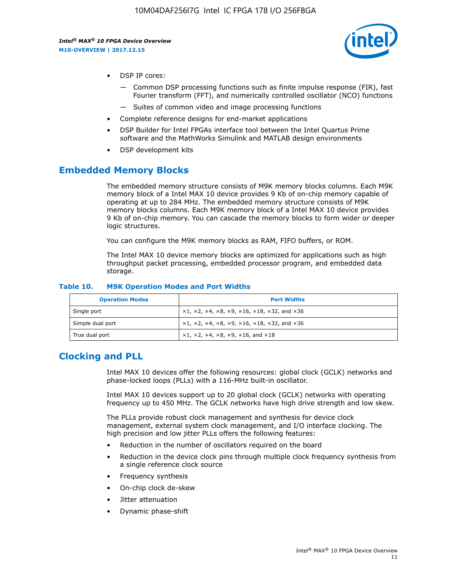

- DSP IP cores:
	- Common DSP processing functions such as finite impulse response (FIR), fast Fourier transform (FFT), and numerically controlled oscillator (NCO) functions
	- Suites of common video and image processing functions
- Complete reference designs for end-market applications
- DSP Builder for Intel FPGAs interface tool between the Intel Quartus Prime software and the MathWorks Simulink and MATLAB design environments
- DSP development kits

## **Embedded Memory Blocks**

The embedded memory structure consists of M9K memory blocks columns. Each M9K memory block of a Intel MAX 10 device provides 9 Kb of on-chip memory capable of operating at up to 284 MHz. The embedded memory structure consists of M9K memory blocks columns. Each M9K memory block of a Intel MAX 10 device provides 9 Kb of on-chip memory. You can cascade the memory blocks to form wider or deeper logic structures.

You can configure the M9K memory blocks as RAM, FIFO buffers, or ROM.

The Intel MAX 10 device memory blocks are optimized for applications such as high throughput packet processing, embedded processor program, and embedded data storage.

| <b>Operation Modes</b> | <b>Port Widths</b>                                                            |
|------------------------|-------------------------------------------------------------------------------|
| Single port            | $x1, x2, x4, x8, x9, x16, x18, x32, and x36$                                  |
| Simple dual port       | $x1, x2, x4, x8, x9, x16, x18, x32, and x36$                                  |
| True dual port         | $\times1, \times2, \times4, \times8, \times9, \times16, \text{and } \times18$ |

#### **Table 10. M9K Operation Modes and Port Widths**

## **Clocking and PLL**

Intel MAX 10 devices offer the following resources: global clock (GCLK) networks and phase-locked loops (PLLs) with a 116-MHz built-in oscillator.

Intel MAX 10 devices support up to 20 global clock (GCLK) networks with operating frequency up to 450 MHz. The GCLK networks have high drive strength and low skew.

The PLLs provide robust clock management and synthesis for device clock management, external system clock management, and I/O interface clocking. The high precision and low jitter PLLs offers the following features:

- Reduction in the number of oscillators required on the board
- Reduction in the device clock pins through multiple clock frequency synthesis from a single reference clock source
- Frequency synthesis
- On-chip clock de-skew
- Jitter attenuation
- Dynamic phase-shift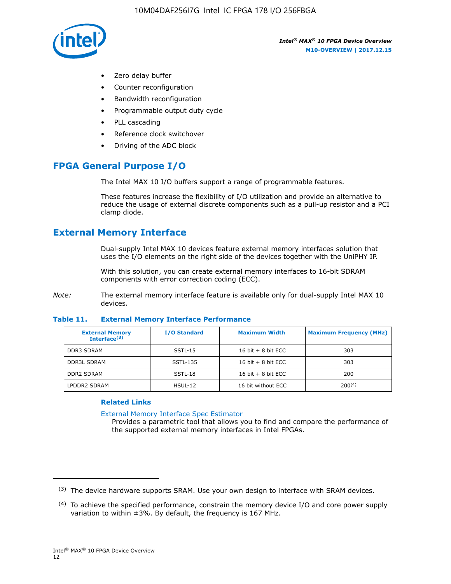

- Zero delay buffer
- Counter reconfiguration
- Bandwidth reconfiguration
- Programmable output duty cycle
- PLL cascading
- Reference clock switchover
- Driving of the ADC block

## **FPGA General Purpose I/O**

The Intel MAX 10 I/O buffers support a range of programmable features.

These features increase the flexibility of I/O utilization and provide an alternative to reduce the usage of external discrete components such as a pull-up resistor and a PCI clamp diode.

## **External Memory Interface**

Dual-supply Intel MAX 10 devices feature external memory interfaces solution that uses the I/O elements on the right side of the devices together with the UniPHY IP.

With this solution, you can create external memory interfaces to 16-bit SDRAM components with error correction coding (ECC).

*Note:* The external memory interface feature is available only for dual-supply Intel MAX 10 devices.

#### **Table 11. External Memory Interface Performance**

| <b>External Memory</b><br>Interface $(3)$ | <b>I/O Standard</b> | <b>Maximum Width</b> | <b>Maximum Frequency (MHz)</b> |
|-------------------------------------------|---------------------|----------------------|--------------------------------|
| <b>DDR3 SDRAM</b>                         | $SSTL-15$           | 16 bit $+8$ bit ECC  | 303                            |
| <b>DDR3L SDRAM</b>                        | SSTL-135            | 16 bit $+8$ bit ECC  | 303                            |
| <b>DDR2 SDRAM</b>                         | SSTL-18             | 16 bit $+8$ bit ECC  | 200                            |
| LPDDR2 SDRAM                              | HSUL-12             | 16 bit without ECC   | 200(4)                         |

#### **Related Links**

[External Memory Interface Spec Estimator](http://www.altera.com/technology/memory/estimator/mem-emif-index.html)

Provides a parametric tool that allows you to find and compare the performance of the supported external memory interfaces in Intel FPGAs.

 $(3)$  The device hardware supports SRAM. Use your own design to interface with SRAM devices.

 $(4)$  To achieve the specified performance, constrain the memory device I/O and core power supply variation to within ±3%. By default, the frequency is 167 MHz.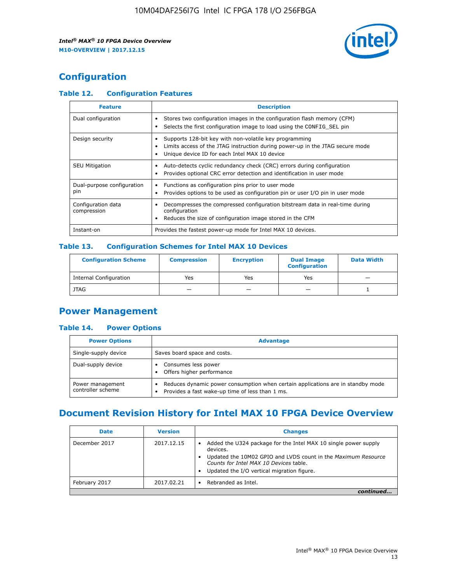

## **Configuration**

## **Table 12. Configuration Features**

| <b>Feature</b>                    | <b>Description</b>                                                                                                                                                                       |
|-----------------------------------|------------------------------------------------------------------------------------------------------------------------------------------------------------------------------------------|
| Dual configuration                | Stores two configuration images in the configuration flash memory (CFM)<br>Selects the first configuration image to load using the CONFIG SEL pin                                        |
| Design security                   | Supports 128-bit key with non-volatile key programming<br>Limits access of the JTAG instruction during power-up in the JTAG secure mode<br>Unique device ID for each Intel MAX 10 device |
| <b>SEU Mitigation</b>             | Auto-detects cyclic redundancy check (CRC) errors during configuration<br>Provides optional CRC error detection and identification in user mode                                          |
| Dual-purpose configuration<br>pin | Functions as configuration pins prior to user mode<br>Provides options to be used as configuration pin or user I/O pin in user mode                                                      |
| Configuration data<br>compression | Decompresses the compressed configuration bitstream data in real-time during<br>configuration<br>Reduces the size of configuration image stored in the CFM                               |
| Instant-on                        | Provides the fastest power-up mode for Intel MAX 10 devices.                                                                                                                             |

#### **Table 13. Configuration Schemes for Intel MAX 10 Devices**

| <b>Configuration Scheme</b>   | <b>Compression</b>       | <b>Encryption</b> | <b>Dual Image</b><br><b>Configuration</b> | <b>Data Width</b> |
|-------------------------------|--------------------------|-------------------|-------------------------------------------|-------------------|
| <b>Internal Configuration</b> | Yes                      | Yes               | Yes                                       |                   |
| <b>JTAG</b>                   | $\overline{\phantom{a}}$ |                   | -                                         |                   |

## **Power Management**

#### **Table 14. Power Options**

| <b>Power Options</b>                  | <b>Advantage</b>                                                                                                                        |
|---------------------------------------|-----------------------------------------------------------------------------------------------------------------------------------------|
| Single-supply device                  | Saves board space and costs.                                                                                                            |
| Dual-supply device                    | Consumes less power<br>Offers higher performance<br>$\bullet$                                                                           |
| Power management<br>controller scheme | Reduces dynamic power consumption when certain applications are in standby mode<br>Provides a fast wake-up time of less than 1 ms.<br>٠ |

## **Document Revision History for Intel MAX 10 FPGA Device Overview**

| <b>Date</b>   | <b>Version</b> | <b>Changes</b>                                                                                                                                                                                                                       |
|---------------|----------------|--------------------------------------------------------------------------------------------------------------------------------------------------------------------------------------------------------------------------------------|
| December 2017 | 2017.12.15     | Added the U324 package for the Intel MAX 10 single power supply<br>devices.<br>Updated the 10M02 GPIO and LVDS count in the Maximum Resource<br>Counts for Intel MAX 10 Devices table.<br>Updated the I/O vertical migration figure. |
| February 2017 | 2017.02.21     | Rebranded as Intel.                                                                                                                                                                                                                  |
|               |                |                                                                                                                                                                                                                                      |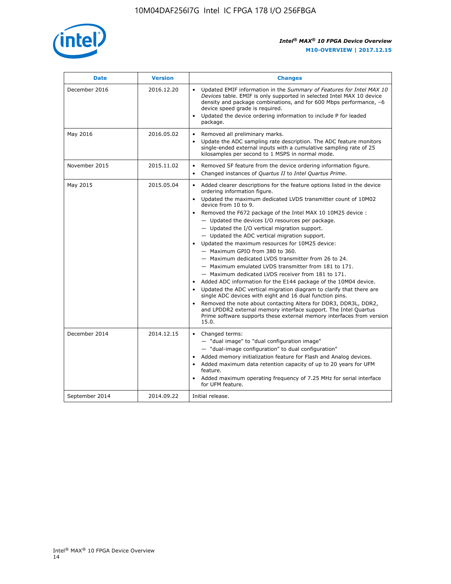

| <b>Date</b>    | <b>Version</b> | <b>Changes</b>                                                                                                                                                                                                                                                                                                                                                                                                                                                                                                                                                                                                                                                                                                                                                                                                                                                                                                                                                                                                                                                                                                  |
|----------------|----------------|-----------------------------------------------------------------------------------------------------------------------------------------------------------------------------------------------------------------------------------------------------------------------------------------------------------------------------------------------------------------------------------------------------------------------------------------------------------------------------------------------------------------------------------------------------------------------------------------------------------------------------------------------------------------------------------------------------------------------------------------------------------------------------------------------------------------------------------------------------------------------------------------------------------------------------------------------------------------------------------------------------------------------------------------------------------------------------------------------------------------|
| December 2016  | 2016.12.20     | • Updated EMIF information in the Summary of Features for Intel MAX 10<br>Devices table. EMIF is only supported in selected Intel MAX 10 device<br>density and package combinations, and for 600 Mbps performance, -6<br>device speed grade is required.<br>Updated the device ordering information to include P for leaded<br>package.                                                                                                                                                                                                                                                                                                                                                                                                                                                                                                                                                                                                                                                                                                                                                                         |
| May 2016       | 2016.05.02     | Removed all preliminary marks.<br>Update the ADC sampling rate description. The ADC feature monitors<br>single-ended external inputs with a cumulative sampling rate of 25<br>kilosamples per second to 1 MSPS in normal mode.                                                                                                                                                                                                                                                                                                                                                                                                                                                                                                                                                                                                                                                                                                                                                                                                                                                                                  |
| November 2015  | 2015.11.02     | Removed SF feature from the device ordering information figure.<br>$\bullet$<br>Changed instances of Quartus II to Intel Quartus Prime.<br>$\bullet$                                                                                                                                                                                                                                                                                                                                                                                                                                                                                                                                                                                                                                                                                                                                                                                                                                                                                                                                                            |
| May 2015       | 2015.05.04     | Added clearer descriptions for the feature options listed in the device<br>ordering information figure.<br>Updated the maximum dedicated LVDS transmitter count of 10M02<br>device from 10 to 9.<br>Removed the F672 package of the Intel MAX 10 10M25 device :<br>- Updated the devices I/O resources per package.<br>- Updated the I/O vertical migration support.<br>- Updated the ADC vertical migration support.<br>Updated the maximum resources for 10M25 device:<br>- Maximum GPIO from 380 to 360.<br>- Maximum dedicated LVDS transmitter from 26 to 24.<br>- Maximum emulated LVDS transmitter from 181 to 171.<br>- Maximum dedicated LVDS receiver from 181 to 171.<br>Added ADC information for the E144 package of the 10M04 device.<br>Updated the ADC vertical migration diagram to clarify that there are<br>single ADC devices with eight and 16 dual function pins.<br>Removed the note about contacting Altera for DDR3, DDR3L, DDR2,<br>and LPDDR2 external memory interface support. The Intel Quartus<br>Prime software supports these external memory interfaces from version<br>15.0. |
| December 2014  | 2014.12.15     | Changed terms:<br>- "dual image" to "dual configuration image"<br>- "dual-image configuration" to dual configuration"<br>Added memory initialization feature for Flash and Analog devices.<br>Added maximum data retention capacity of up to 20 years for UFM<br>feature.<br>Added maximum operating frequency of 7.25 MHz for serial interface<br>for UFM feature.                                                                                                                                                                                                                                                                                                                                                                                                                                                                                                                                                                                                                                                                                                                                             |
| September 2014 | 2014.09.22     | Initial release.                                                                                                                                                                                                                                                                                                                                                                                                                                                                                                                                                                                                                                                                                                                                                                                                                                                                                                                                                                                                                                                                                                |